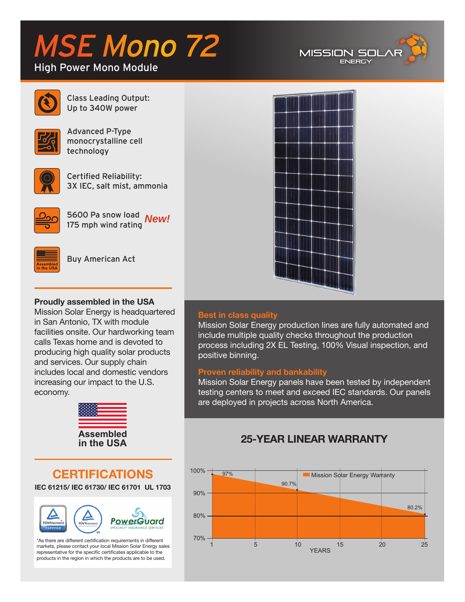# MSE Mono 72

# High Power Mono Module





Class Leading Output: Up to 340W power



Advanced P-Type monocrystalline cell technology



Certified Reliability: 3X IEC, salt mist, ammonia



5600 Pa snow load *New!*175 mph wind rating



Buy American Act

# **Proudly assembled in the USA**

Mission Solar Energy is headquartered in San Antonio, TX with module facilities onsite. Our hardworking team calls Texas home and is devoted to producing high quality solar products and services. Our supply chain includes local and domestic vendors increasing our impact to the U.S. economy.



**CERTIFICATIONS IEC 61215/ IEC 61730/ IEC 61701 UL 1703**



\*As there are different certification requirements in different markets, please contact your local Mission Solar Energy sales representative for the specific certificates applicable to the products in the region in which the products are to be used.



# **Best in class quality**

Mission Solar Energy production lines are fully automated and include multiple quality checks throughout the production process including 2X EL Testing, 100% Visual inspection, and positive binning.

# **Proven reliability and bankability**

Mission Solar Energy panels have been tested by independent testing centers to meet and exceed IEC standards. Our panels are deployed in projects across North America.

# **25-YEAR LINEAR WARRANTY**